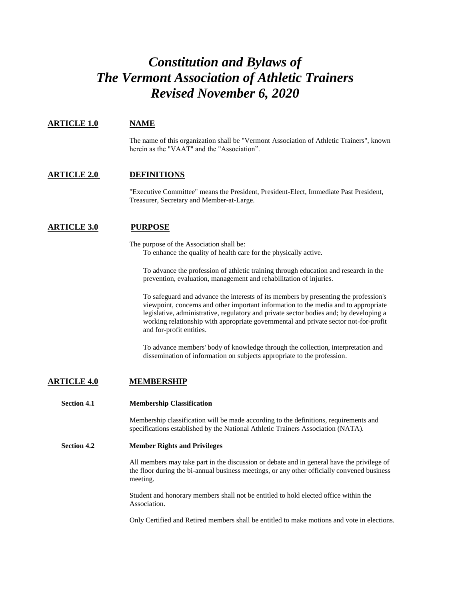# *Constitution and Bylaws of The Vermont Association of Athletic Trainers Revised November 6, 2020*

# **ARTICLE 1.0 NAME**

The name of this organization shall be "Vermont Association of Athletic Trainers", known herein as the "VAAT" and the "Association".

# **ARTICLE 2.0 DEFINITIONS**

"Executive Committee" means the President, President-Elect, Immediate Past President, Treasurer, Secretary and Member-at-Large.

# **ARTICLE 3.0 PURPOSE**

The purpose of the Association shall be: To enhance the quality of health care for the physically active.

To advance the profession of athletic training through education and research in the prevention, evaluation, management and rehabilitation of injuries.

To safeguard and advance the interests of its members by presenting the profession's viewpoint, concerns and other important information to the media and to appropriate legislative, administrative, regulatory and private sector bodies and; by developing a working relationship with appropriate governmental and private sector not-for-profit and for-profit entities.

To advance members' body of knowledge through the collection, interpretation and dissemination of information on subjects appropriate to the profession.

# **ARTICLE 4.0 MEMBERSHIP**

**Section 4.1 Membership Classification**

Membership classification will be made according to the definitions, requirements and specifications established by the National Athletic Trainers Association (NATA).

### **Section 4.2 Member Rights and Privileges**

All members may take part in the discussion or debate and in general have the privilege of the floor during the bi-annual business meetings, or any other officially convened business meeting.

Student and honorary members shall not be entitled to hold elected office within the Association.

Only Certified and Retired members shall be entitled to make motions and vote in elections.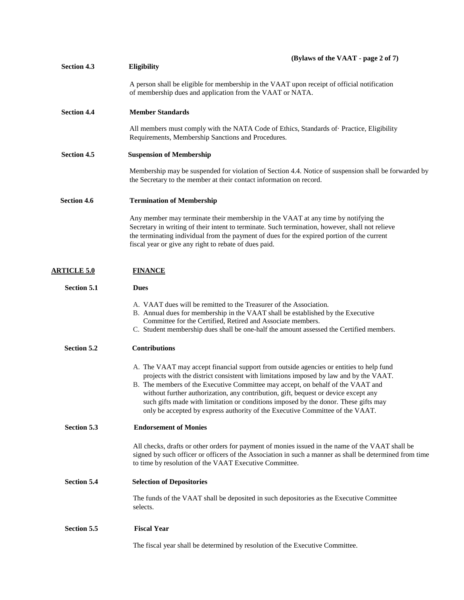| <b>Section 4.3</b> | (Bylaws of the VAAT - page 2 of 7)<br><b>Eligibility</b>                                                                                                                                                                                                                                                                                                                                                                                                                                                                            |
|--------------------|-------------------------------------------------------------------------------------------------------------------------------------------------------------------------------------------------------------------------------------------------------------------------------------------------------------------------------------------------------------------------------------------------------------------------------------------------------------------------------------------------------------------------------------|
|                    |                                                                                                                                                                                                                                                                                                                                                                                                                                                                                                                                     |
|                    | A person shall be eligible for membership in the VAAT upon receipt of official notification<br>of membership dues and application from the VAAT or NATA.                                                                                                                                                                                                                                                                                                                                                                            |
| <b>Section 4.4</b> | <b>Member Standards</b>                                                                                                                                                                                                                                                                                                                                                                                                                                                                                                             |
|                    | All members must comply with the NATA Code of Ethics, Standards of Practice, Eligibility<br>Requirements, Membership Sanctions and Procedures.                                                                                                                                                                                                                                                                                                                                                                                      |
| <b>Section 4.5</b> | <b>Suspension of Membership</b>                                                                                                                                                                                                                                                                                                                                                                                                                                                                                                     |
|                    | Membership may be suspended for violation of Section 4.4. Notice of suspension shall be forwarded by<br>the Secretary to the member at their contact information on record.                                                                                                                                                                                                                                                                                                                                                         |
| <b>Section 4.6</b> | <b>Termination of Membership</b>                                                                                                                                                                                                                                                                                                                                                                                                                                                                                                    |
|                    | Any member may terminate their membership in the VAAT at any time by notifying the<br>Secretary in writing of their intent to terminate. Such termination, however, shall not relieve<br>the terminating individual from the payment of dues for the expired portion of the current<br>fiscal year or give any right to rebate of dues paid.                                                                                                                                                                                        |
| <u>ARTICLE 5.0</u> | <b>FINANCE</b>                                                                                                                                                                                                                                                                                                                                                                                                                                                                                                                      |
| <b>Section 5.1</b> | <b>Dues</b>                                                                                                                                                                                                                                                                                                                                                                                                                                                                                                                         |
|                    | A. VAAT dues will be remitted to the Treasurer of the Association.<br>B. Annual dues for membership in the VAAT shall be established by the Executive<br>Committee for the Certified, Retired and Associate members.<br>C. Student membership dues shall be one-half the amount assessed the Certified members.                                                                                                                                                                                                                     |
| Section 5.2        | <b>Contributions</b>                                                                                                                                                                                                                                                                                                                                                                                                                                                                                                                |
|                    | A. The VAAT may accept financial support from outside agencies or entities to help fund<br>projects with the district consistent with limitations imposed by law and by the VAAT.<br>B. The members of the Executive Committee may accept, on behalf of the VAAT and<br>without further authorization, any contribution, gift, bequest or device except any<br>such gifts made with limitation or conditions imposed by the donor. These gifts may<br>only be accepted by express authority of the Executive Committee of the VAAT. |
| Section 5.3        | <b>Endorsement of Monies</b>                                                                                                                                                                                                                                                                                                                                                                                                                                                                                                        |
|                    | All checks, drafts or other orders for payment of monies issued in the name of the VAAT shall be<br>signed by such officer or officers of the Association in such a manner as shall be determined from time<br>to time by resolution of the VAAT Executive Committee.                                                                                                                                                                                                                                                               |
| <b>Section 5.4</b> | <b>Selection of Depositories</b>                                                                                                                                                                                                                                                                                                                                                                                                                                                                                                    |
|                    | The funds of the VAAT shall be deposited in such depositories as the Executive Committee<br>selects.                                                                                                                                                                                                                                                                                                                                                                                                                                |
| <b>Section 5.5</b> | <b>Fiscal Year</b>                                                                                                                                                                                                                                                                                                                                                                                                                                                                                                                  |
|                    | The fiscal year shall be determined by resolution of the Executive Committee.                                                                                                                                                                                                                                                                                                                                                                                                                                                       |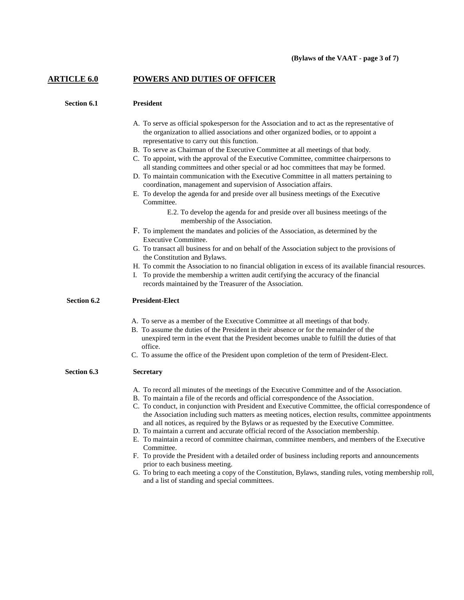# **ARTICLE 6.0 POWERS AND DUTIES OF OFFICER**

## **Section 6.1 President**

| A. To serve as official spokes person for the Association and to act as the representative of |  |  |
|-----------------------------------------------------------------------------------------------|--|--|
| the organization to allied associations and other organized bodies, or to appoint a           |  |  |
| representative to carry out this function.                                                    |  |  |
|                                                                                               |  |  |

- B. To serve as Chairman of the Executive Committee at all meetings of that body.
- C. To appoint, with the approval of the Executive Committee, committee chairpersons to all standing committees and other special or ad hoc committees that may be formed.
- D. To maintain communication with the Executive Committee in all matters pertaining to coordination, management and supervision of Association affairs.
- E. To develop the agenda for and preside over all business meetings of the Executive Committee.
	- E.2. To develop the agenda for and preside over all business meetings of the membership of the Association.
- F. To implement the mandates and policies of the Association, as determined by the Executive Committee.
- G. To transact all business for and on behalf of the Association subject to the provisions of the Constitution and Bylaws.
- H. To commit the Association to no financial obligation in excess of its available financial resources.
- I. To provide the membership a written audit certifying the accuracy of the financial records maintained by the Treasurer of the Association.

# **Section 6.2 President-Elect**

- A. To serve as a member of the Executive Committee at all meetings of that body.
- B. To assume the duties of the President in their absence or for the remainder of the unexpired term in the event that the President becomes unable to fulfill the duties of that office.
- C. To assume the office of the President upon completion of the term of President-Elect.

#### **Section 6.3 Secretary**

- A. To record all minutes of the meetings of the Executive Committee and of the Association.
- B. To maintain a file of the records and official correspondence of the Association.
- C. To conduct, in conjunction with President and Executive Committee, the official correspondence of the Association including such matters as meeting notices, election results, committee appointments and all notices, as required by the Bylaws or as requested by the Executive Committee.
- D. To maintain a current and accurate official record of the Association membership.
- E. To maintain a record of committee chairman, committee members, and members of the Executive Committee.
- F. To provide the President with a detailed order of business including reports and announcements prior to each business meeting.
- G. To bring to each meeting a copy of the Constitution, Bylaws, standing rules, voting membership roll, and a list of standing and special committees.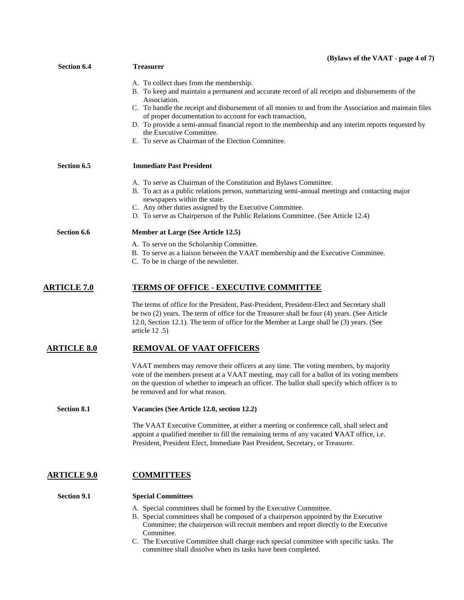|                    | (Bylaws of the VAAT - page 4 of 7)                                                                                                                                                                                                                                                                                                                              |
|--------------------|-----------------------------------------------------------------------------------------------------------------------------------------------------------------------------------------------------------------------------------------------------------------------------------------------------------------------------------------------------------------|
| <b>Section 6.4</b> | <b>Treasurer</b>                                                                                                                                                                                                                                                                                                                                                |
|                    | A. To collect dues from the membership.<br>B. To keep and maintain a permanent and accurate record of all receipts and disbursements of the<br>Association.                                                                                                                                                                                                     |
|                    | C. To handle the receipt and disbursement of all monies to and from the Association and maintain files<br>of proper documentation to account for each transaction,                                                                                                                                                                                              |
|                    | D. To provide a semi-annual financial report to the membership and any interim reports requested by<br>the Executive Committee.<br>E. To serve as Chairman of the Election Committee.                                                                                                                                                                           |
| Section 6.5        | <b>Immediate Past President</b>                                                                                                                                                                                                                                                                                                                                 |
|                    | A. To serve as Chairman of the Constitution and Bylaws Committee.<br>B. To act as a public relations person, summarizing semi-annual meetings and contacting major<br>newspapers within the state.<br>C. Any other duties assigned by the Executive Committee.<br>D. To serve as Chairperson of the Public Relations Committee. (See Article 12.4)              |
| Section 6.6        | <b>Member at Large (See Article 12.5)</b>                                                                                                                                                                                                                                                                                                                       |
|                    | A. To serve on the Scholarship Committee.<br>B. To serve as a liaison between the VAAT membership and the Executive Committee.<br>C. To be in charge of the newsletter.                                                                                                                                                                                         |
| <b>ARTICLE 7.0</b> | TERMS OF OFFICE - EXECUTIVE COMMITTEE                                                                                                                                                                                                                                                                                                                           |
|                    | The terms of office for the President, Past-President, President-Elect and Secretary shall<br>be two (2) years. The term of office for the Treasurer shall be four (4) years. (See Article<br>12.0, Section 12.1). The term of office for the Member at Large shall be (3) years. (See<br>article $12.5$ )                                                      |
| <b>ARTICLE 8.0</b> | <b>REMOVAL OF VAAT OFFICERS</b>                                                                                                                                                                                                                                                                                                                                 |
|                    | VAAT members may remove their officers at any time. The voting members, by majority<br>vote of the members present at a VAAT meeting, may call for a ballot of its voting members<br>on the question of whether to impeach an officer. The ballot shall specify which officer is to<br>be removed and for what reason.                                          |
| <b>Section 8.1</b> | Vacancies (See Article 12.0, section 12.2)                                                                                                                                                                                                                                                                                                                      |
|                    | The VAAT Executive Committee, at either a meeting or conference call, shall select and<br>appoint a qualified member to fill the remaining terms of any vacated VAAT office, i.e.<br>President, President Elect, Immediate Past President, Secretary, or Treasurer.                                                                                             |
| <b>ARTICLE 9.0</b> | <b>COMMITTEES</b>                                                                                                                                                                                                                                                                                                                                               |
| <b>Section 9.1</b> | <b>Special Committees</b>                                                                                                                                                                                                                                                                                                                                       |
|                    | A. Special committees shall be formed by the Executive Committee.<br>B. Special committees shall be composed of a chairperson appointed by the Executive<br>Committee; the chairperson will recruit members and report directly to the Executive<br>Committee.<br>$\Gamma$ The Executive Committee shall charge each special committee with specific tasks. The |

C. The Executive Committee shall charge each special committee with specific tasks. The committee shall dissolve when its tasks have been completed.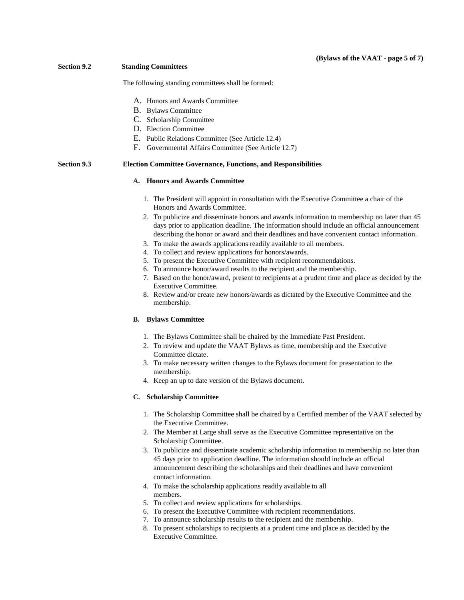# **Section 9.2 Standing Committees**

The following standing committees shall be formed:

- A. Honors and Awards Committee
- B. Bylaws Committee
- C. Scholarship Committee
- D. Election Committee
- E. Public Relations Committee (See Article 12.4)
- F. Governmental Affairs Committee (See Article 12.7)

#### **Section 9.3 Election Committee Governance, Functions, and Responsibilities**

#### **A. Honors and Awards Committee**

- 1. The President will appoint in consultation with the Executive Committee a chair of the Honors and Awards Committee.
- 2. To publicize and disseminate honors and awards information to membership no later than 45 days prior to application deadline. The information should include an official announcement describing the honor or award and their deadlines and have convenient contact information.
- 3. To make the awards applications readily available to all members.
- 4. To collect and review applications for honors/awards.
- 5. To present the Executive Committee with recipient recommendations.
- 6. To announce honor/award results to the recipient and the membership.
- 7. Based on the honor/award, present to recipients at a prudent time and place as decided by the Executive Committee.
- 8. Review and/or create new honors/awards as dictated by the Executive Committee and the membership.

#### **B. Bylaws Committee**

- 1. The Bylaws Committee shall be chaired by the Immediate Past President.
- 2. To review and update the VAAT Bylaws as time, membership and the Executive Committee dictate.
- 3. To make necessary written changes to the Bylaws document for presentation to the membership.
- 4. Keep an up to date version of the Bylaws document.

#### **C. Scholarship Committee**

- 1. The Scholarship Committee shall be chaired by a Certified member of the VAAT selected by the Executive Committee.
- 2. The Member at Large shall serve as the Executive Committee representative on the Scholarship Committee.
- 3. To publicize and disseminate academic scholarship information to membership no later than 45 days prior to application deadline. The information should include an official announcement describing the scholarships and their deadlines and have convenient contact information.
- 4. To make the scholarship applications readily available to all members.
- 5. To collect and review applications for scholarships.
- 6. To present the Executive Committee with recipient recommendations.
- 7. To announce scholarship results to the recipient and the membership.
- 8. To present scholarships to recipients at a prudent time and place as decided by the Executive Committee.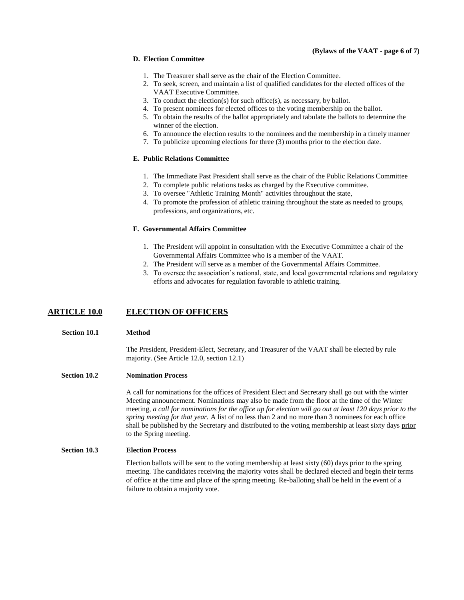## **(Bylaws of the VAAT** - **page 6 of 7)**

## **D. Election Committee**

- 1. The Treasurer shall serve as the chair of the Election Committee.
- 2. To seek, screen, and maintain a list of qualified candidates for the elected offices of the VAAT Executive Committee.
- 3. To conduct the election(s) for such office(s), as necessary, by ballot.
- 4. To present nominees for elected offices to the voting membership on the ballot.
- 5. To obtain the results of the ballot appropriately and tabulate the ballots to determine the winner of the election.
- 6. To announce the election results to the nominees and the membership in a timely manner
- 7. To publicize upcoming elections for three (3) months prior to the election date.

# **E. Public Relations Committee**

- 1. The Immediate Past President shall serve as the chair of the Public Relations Committee
- 2. To complete public relations tasks as charged by the Executive committee.
- 3. To oversee "Athletic Training Month" activities throughout the state,
- 4. To promote the profession of athletic training throughout the state as needed to groups, professions, and organizations, etc.

## **F. Governmental Affairs Committee**

- 1. The President will appoint in consultation with the Executive Committee a chair of the Governmental Affairs Committee who is a member of the VAAT.
- 2. The President will serve as a member of the Governmental Affairs Committee.
- 3. To oversee the association's national, state, and local governmental relations and regulatory efforts and advocates for regulation favorable to athletic training.

# **ARTICLE 10.0 ELECTION OF OFFICERS**

## **Section 10.1 Method**

The President, President-Elect, Secretary, and Treasurer of the VAAT shall be elected by rule majority. (See Article 12.0, section 12.1)

## **Section 10.2 Nomination Process**

A call for nominations for the offices of President Elect and Secretary shall go out with the winter Meeting announcement. Nominations may also be made from the floor at the time of the Winter meeting, *a call for nominations for the office up for election will go out at least 120 days prior to the spring meeting for that year.* A list of no less than 2 and no more than 3 nominees for each office shall be published by the Secretary and distributed to the voting membership at least sixty days prior to the Spring meeting.

#### **Section 10.3 Election Process**

Election ballots will be sent to the voting membership at least sixty (60) days prior to the spring meeting. The candidates receiving the majority votes shall be declared elected and begin their terms of office at the time and place of the spring meeting. Re-balloting shall be held in the event of a failure to obtain a majority vote.